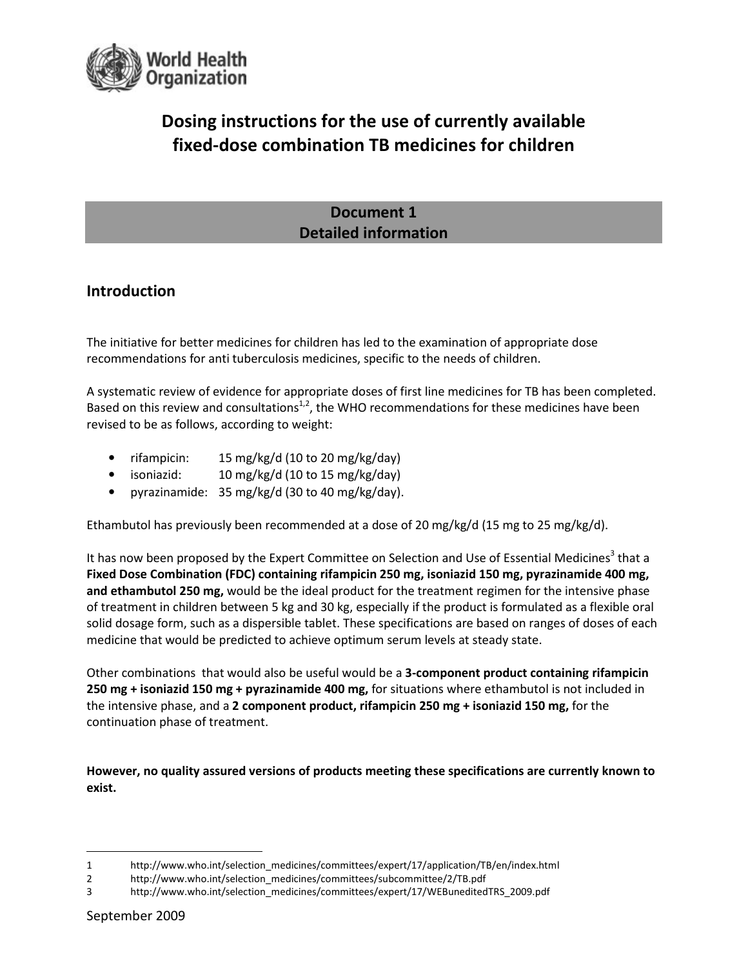

# Dosing instructions for the use of currently available fixed-dose combination TB medicines for children

## Document 1 Detailed information

## Introduction

The initiative for better medicines for children has led to the examination of appropriate dose recommendations for anti tuberculosis medicines, specific to the needs of children.

A systematic review of evidence for appropriate doses of first line medicines for TB has been completed. Based on this review and consultations<sup>1,2</sup>, the WHO recommendations for these medicines have been revised to be as follows, according to weight:

- rifampicin: 15 mg/kg/d (10 to 20 mg/kg/day)
- isoniazid: 10 mg/kg/d (10 to 15 mg/kg/day)
- pyrazinamide: 35 mg/kg/d (30 to 40 mg/kg/day).

Ethambutol has previously been recommended at a dose of 20 mg/kg/d (15 mg to 25 mg/kg/d).

It has now been proposed by the Expert Committee on Selection and Use of Essential Medicines<sup>3</sup> that a Fixed Dose Combination (FDC) containing rifampicin 250 mg, isoniazid 150 mg, pyrazinamide 400 mg, and ethambutol 250 mg, would be the ideal product for the treatment regimen for the intensive phase of treatment in children between 5 kg and 30 kg, especially if the product is formulated as a flexible oral solid dosage form, such as a dispersible tablet. These specifications are based on ranges of doses of each medicine that would be predicted to achieve optimum serum levels at steady state.

Other combinations that would also be useful would be a 3-component product containing rifampicin 250 mg + isoniazid 150 mg + pyrazinamide 400 mg, for situations where ethambutol is not included in the intensive phase, and a 2 component product, rifampicin 250 mg + isoniazid 150 mg, for the continuation phase of treatment.

However, no quality assured versions of products meeting these specifications are currently known to exist.

<sup>1</sup> http://www.who.int/selection\_medicines/committees/expert/17/application/TB/en/index.html

<sup>2</sup> http://www.who.int/selection\_medicines/committees/subcommittee/2/TB.pdf

<sup>3</sup> http://www.who.int/selection\_medicines/committees/expert/17/WEBuneditedTRS\_2009.pdf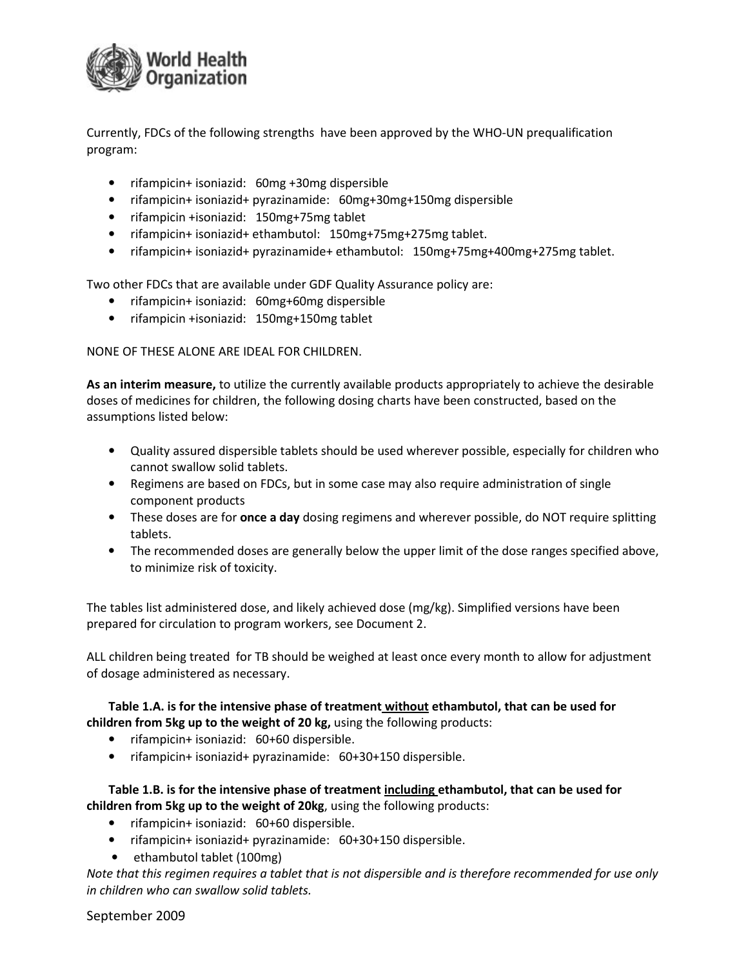

Currently, FDCs of the following strengths have been approved by the WHO-UN prequalification program:

- rifampicin+ isoniazid: 60mg +30mg dispersible
- rifampicin+ isoniazid+ pyrazinamide: 60mg+30mg+150mg dispersible
- rifampicin +isoniazid: 150mg+75mg tablet
- rifampicin+ isoniazid+ ethambutol: 150mg+75mg+275mg tablet.
- rifampicin+ isoniazid+ pyrazinamide+ ethambutol: 150mg+75mg+400mg+275mg tablet.

Two other FDCs that are available under GDF Quality Assurance policy are:

- rifampicin+ isoniazid: 60mg+60mg dispersible
- rifampicin +isoniazid: 150mg+150mg tablet

NONE OF THESE ALONE ARE IDEAL FOR CHILDREN.

As an interim measure, to utilize the currently available products appropriately to achieve the desirable doses of medicines for children, the following dosing charts have been constructed, based on the assumptions listed below:

- Quality assured dispersible tablets should be used wherever possible, especially for children who cannot swallow solid tablets.
- Regimens are based on FDCs, but in some case may also require administration of single component products
- These doses are for **once a day** dosing regimens and wherever possible, do NOT require splitting tablets.
- The recommended doses are generally below the upper limit of the dose ranges specified above, to minimize risk of toxicity.

The tables list administered dose, and likely achieved dose (mg/kg). Simplified versions have been prepared for circulation to program workers, see Document 2.

ALL children being treated for TB should be weighed at least once every month to allow for adjustment of dosage administered as necessary.

#### Table 1.A. is for the intensive phase of treatment without ethambutol, that can be used for children from 5kg up to the weight of 20 kg, using the following products:

- rifampicin+ isoniazid: 60+60 dispersible.
- rifampicin+ isoniazid+ pyrazinamide: 60+30+150 dispersible.

Table 1.B. is for the intensive phase of treatment including ethambutol, that can be used for children from 5kg up to the weight of 20kg, using the following products:

- rifampicin+ isoniazid: 60+60 dispersible.
- rifampicin+ isoniazid+ pyrazinamide: 60+30+150 dispersible.
- ethambutol tablet (100mg)

Note that this regimen requires a tablet that is not dispersible and is therefore recommended for use only in children who can swallow solid tablets.

#### September 2009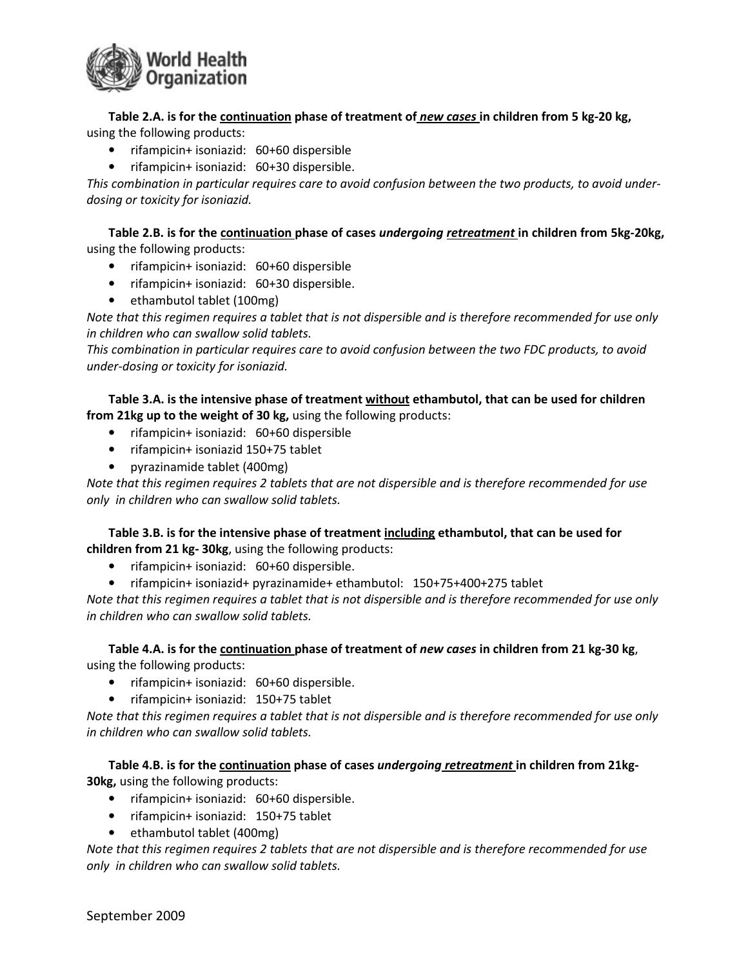

Table 2.A. is for the continuation phase of treatment of new cases in children from 5 kg-20 kg, using the following products:

- rifampicin+ isoniazid: 60+60 dispersible
- rifampicin+ isoniazid: 60+30 dispersible.

This combination in particular requires care to avoid confusion between the two products, to avoid underdosing or toxicity for isoniazid.

Table 2.B. is for the continuation phase of cases undergoing retreatment in children from 5kg-20kg, using the following products:

- rifampicin+ isoniazid: 60+60 dispersible
- rifampicin+ isoniazid: 60+30 dispersible.
- ethambutol tablet (100mg)

Note that this regimen requires a tablet that is not dispersible and is therefore recommended for use only in children who can swallow solid tablets.

This combination in particular requires care to avoid confusion between the two FDC products, to avoid under-dosing or toxicity for isoniazid.

Table 3.A. is the intensive phase of treatment without ethambutol, that can be used for children from 21kg up to the weight of 30 kg, using the following products:

- rifampicin+ isoniazid: 60+60 dispersible
- rifampicin+ isoniazid 150+75 tablet
- pyrazinamide tablet (400mg)

Note that this regimen requires 2 tablets that are not dispersible and is therefore recommended for use only in children who can swallow solid tablets.

Table 3.B. is for the intensive phase of treatment including ethambutol, that can be used for children from 21 kg- 30kg, using the following products:

- rifampicin+ isoniazid: 60+60 dispersible.
- rifampicin+ isoniazid+ pyrazinamide+ ethambutol: 150+75+400+275 tablet

Note that this regimen requires a tablet that is not dispersible and is therefore recommended for use only in children who can swallow solid tablets.

Table 4.A. is for the continuation phase of treatment of new cases in children from 21 kg-30 kg, using the following products:

- rifampicin+ isoniazid: 60+60 dispersible.
- rifampicin+ isoniazid: 150+75 tablet

Note that this regimen requires a tablet that is not dispersible and is therefore recommended for use only in children who can swallow solid tablets.

Table 4.B. is for the continuation phase of cases undergoing retreatment in children from 21kg-30kg, using the following products:

- rifampicin+ isoniazid: 60+60 dispersible.
- rifampicin+ isoniazid: 150+75 tablet
- ethambutol tablet (400mg)

Note that this regimen requires 2 tablets that are not dispersible and is therefore recommended for use only in children who can swallow solid tablets.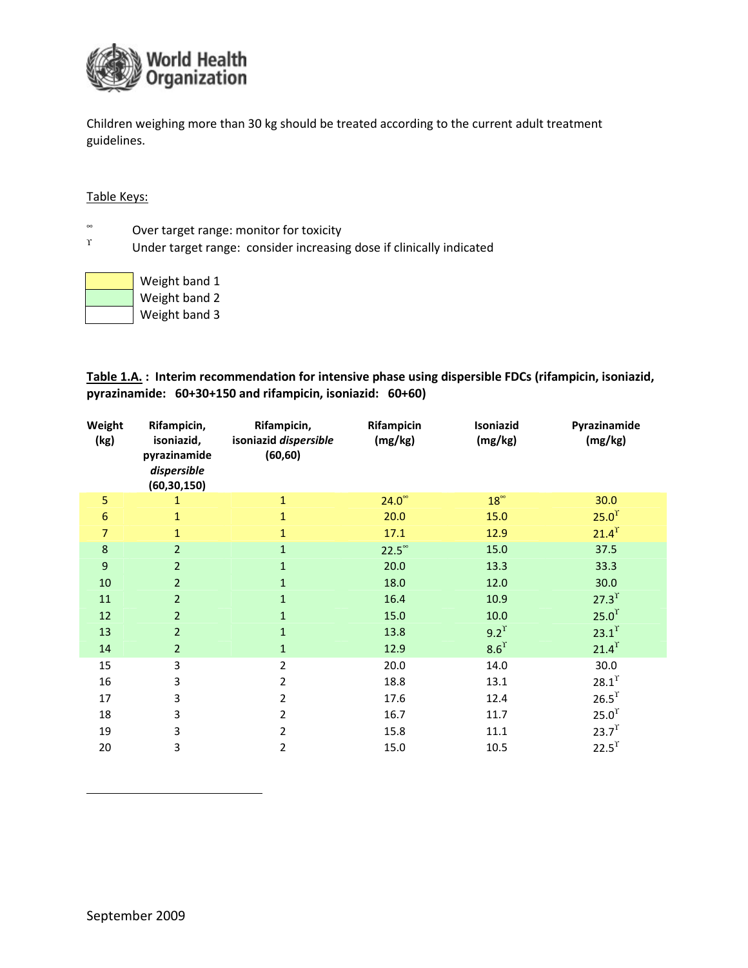

Children weighing more than 30 kg should be treated according to the current adult treatment guidelines.

#### Table Keys:

- ∞ Over target range: monitor for toxicity
- ϒ Under target range: consider increasing dose if clinically indicated

| Weight band 1 |
|---------------|
| Weight band 2 |
| Weight band 3 |

Table 1.A. : Interim recommendation for intensive phase using dispersible FDCs (rifampicin, isoniazid, pyrazinamide: 60+30+150 and rifampicin, isoniazid: 60+60)

| Weight<br>(kg)   | Rifampicin,<br>isoniazid,<br>pyrazinamide<br>dispersible<br>(60, 30, 150) | Rifampicin,<br>isoniazid dispersible<br>(60, 60) | Rifampicin<br>(mg/kg) | Isoniazid<br>(mg/kg) | Pyrazinamide<br>(mg/kg) |
|------------------|---------------------------------------------------------------------------|--------------------------------------------------|-----------------------|----------------------|-------------------------|
| 5                | 1                                                                         | $\mathbf{1}$                                     | $24.0^\circ$          | $18^{\circ}$         | 30.0                    |
| $\boldsymbol{6}$ | $\mathbf{1}$                                                              | $\mathbf{1}$                                     | 20.0                  | 15.0                 | 25.0 <sup>T</sup>       |
| $\overline{7}$   | 1                                                                         | $\mathbf{1}$                                     | 17.1                  | 12.9                 | $21.4$ <sup>r</sup>     |
| $\bf 8$          | $\overline{2}$                                                            | $\mathbf{1}$                                     | $22.5^{\circ}$        | 15.0                 | 37.5                    |
| 9                | $\overline{2}$                                                            | $\mathbf{1}$                                     | 20.0                  | 13.3                 | 33.3                    |
| 10               | $\overline{2}$                                                            | $\mathbf{1}$                                     | 18.0                  | 12.0                 | 30.0                    |
| 11               | $\overline{2}$                                                            | $\mathbf{1}$                                     | 16.4                  | 10.9                 | $27.3$ <sup>r</sup>     |
| 12               | $\overline{2}$                                                            | $\mathbf{1}$                                     | 15.0                  | 10.0                 | 25.0 <sup>T</sup>       |
| 13               | $\overline{2}$                                                            | $\mathbf{1}$                                     | 13.8                  | $9.2^{\gamma}$       | $23.1^{\text{T}}$       |
| 14               | $\overline{2}$                                                            | $\mathbf{1}$                                     | 12.9                  | 8.6 <sup>T</sup>     | $21.4$ <sup>r</sup>     |
| 15               | 3                                                                         | $\overline{2}$                                   | 20.0                  | 14.0                 | 30.0                    |
| 16               | 3                                                                         | $\overline{2}$                                   | 18.8                  | 13.1                 | $28.1^{T}$              |
| 17               | 3                                                                         | $\overline{2}$                                   | 17.6                  | 12.4                 | $26.5$ <sup>r</sup>     |
| 18               | 3                                                                         | 2                                                | 16.7                  | 11.7                 | 25.0 <sup>T</sup>       |
| 19               | 3                                                                         | $\overline{2}$                                   | 15.8                  | 11.1                 | $23.7^{T}$              |
| 20               | 3                                                                         | $\overline{2}$                                   | 15.0                  | 10.5                 | $22.5^{\text{T}}$       |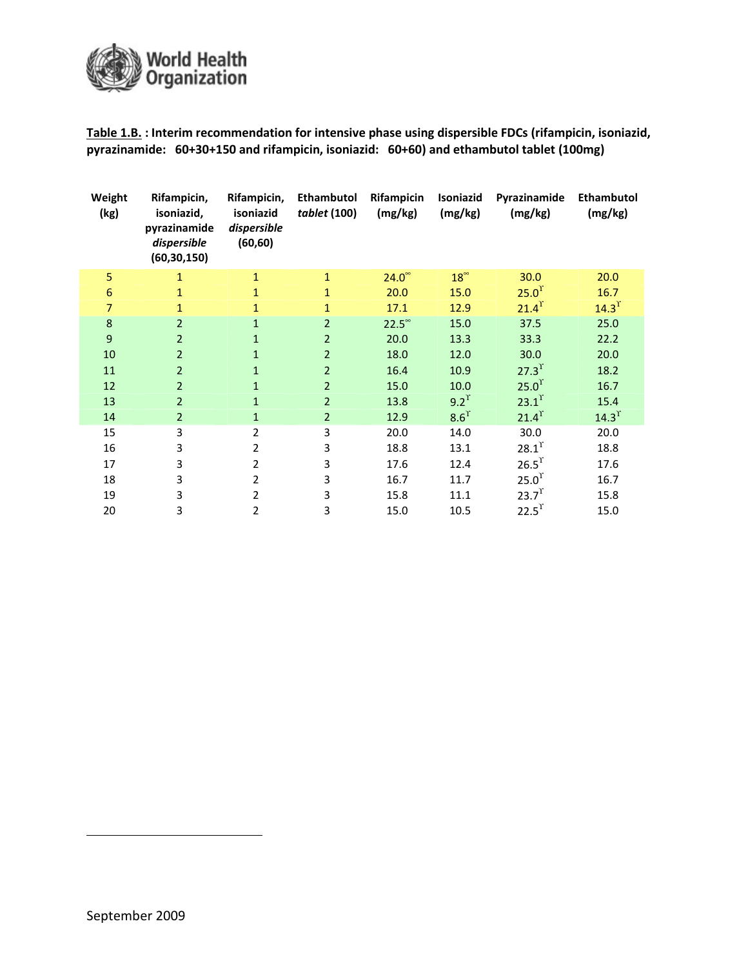

Table 1.B. : Interim recommendation for intensive phase using dispersible FDCs (rifampicin, isoniazid, pyrazinamide: 60+30+150 and rifampicin, isoniazid: 60+60) and ethambutol tablet (100mg)

| Weight<br>(kg)  | Rifampicin,<br>isoniazid,<br>pyrazinamide<br>dispersible<br>(60, 30, 150) | Rifampicin,<br>isoniazid<br>dispersible<br>(60, 60) | Ethambutol<br>tablet (100) | <b>Rifampicin</b><br>(mg/kg) | Isoniazid<br>(mg/kg) | Pyrazinamide<br>(mg/kg) | Ethambutol<br>(mg/kg) |
|-----------------|---------------------------------------------------------------------------|-----------------------------------------------------|----------------------------|------------------------------|----------------------|-------------------------|-----------------------|
| 5               | 1                                                                         | $\mathbf{1}$                                        | $\mathbf{1}$               | $24.0^\circ$                 | $18^{\circ}$         | 30.0                    | 20.0                  |
| $6\phantom{1}6$ | $\mathbf{1}$                                                              | $\mathbf{1}$                                        | $\mathbf{1}$               | 20.0                         | 15.0                 | 25.0 <sup>T</sup>       | 16.7                  |
| 7               | 1                                                                         | $\mathbf{1}$                                        | $\mathbf{1}$               | 17.1                         | 12.9                 | $21.4$ <sup>r</sup>     | $14.3$ <sup>r</sup>   |
| 8               | $\overline{2}$                                                            | $\mathbf{1}$                                        | $\overline{2}$             | $22.5^{\circ}$               | 15.0                 | 37.5                    | 25.0                  |
| 9               | $\overline{2}$                                                            | $\mathbf{1}$                                        | $\overline{2}$             | 20.0                         | 13.3                 | 33.3                    | 22.2                  |
| 10              | $\overline{2}$                                                            | 1                                                   | $\overline{2}$             | 18.0                         | 12.0                 | 30.0                    | 20.0                  |
| 11              | 2                                                                         | 1                                                   | $\overline{2}$             | 16.4                         | 10.9                 | $27.3^{T}$              | 18.2                  |
| 12              | $\overline{2}$                                                            | $\mathbf{1}$                                        | $\overline{2}$             | 15.0                         | 10.0                 | 25.0 <sup>T</sup>       | 16.7                  |
| 13              | $\overline{2}$                                                            | $\mathbf{1}$                                        | $\overline{2}$             | 13.8                         | $9.2^{\gamma}$       | $23.1$ <sup>r</sup>     | 15.4                  |
| 14              | $\overline{2}$                                                            | $\mathbf{1}$                                        | $\overline{2}$             | 12.9                         | 8.6 <sup>T</sup>     | $21.4$ <sup>r</sup>     | $14.3$ <sup>r</sup>   |
| 15              | 3                                                                         | 2                                                   | 3                          | 20.0                         | 14.0                 | 30.0                    | 20.0                  |
| 16              | 3                                                                         | $\overline{2}$                                      | 3                          | 18.8                         | 13.1                 | $28.1$ <sup>r</sup>     | 18.8                  |
| 17              | 3                                                                         | 2                                                   | 3                          | 17.6                         | 12.4                 | 26.5 <sup>T</sup>       | 17.6                  |
| 18              | 3                                                                         | 2                                                   | 3                          | 16.7                         | 11.7                 | 25.0 <sup>T</sup>       | 16.7                  |
| 19              | 3                                                                         | 2                                                   | 3                          | 15.8                         | 11.1                 | 23.7 <sup>T</sup>       | 15.8                  |
| 20              | 3                                                                         | 2                                                   | 3                          | 15.0                         | 10.5                 | $22.5$ <sup>r</sup>     | 15.0                  |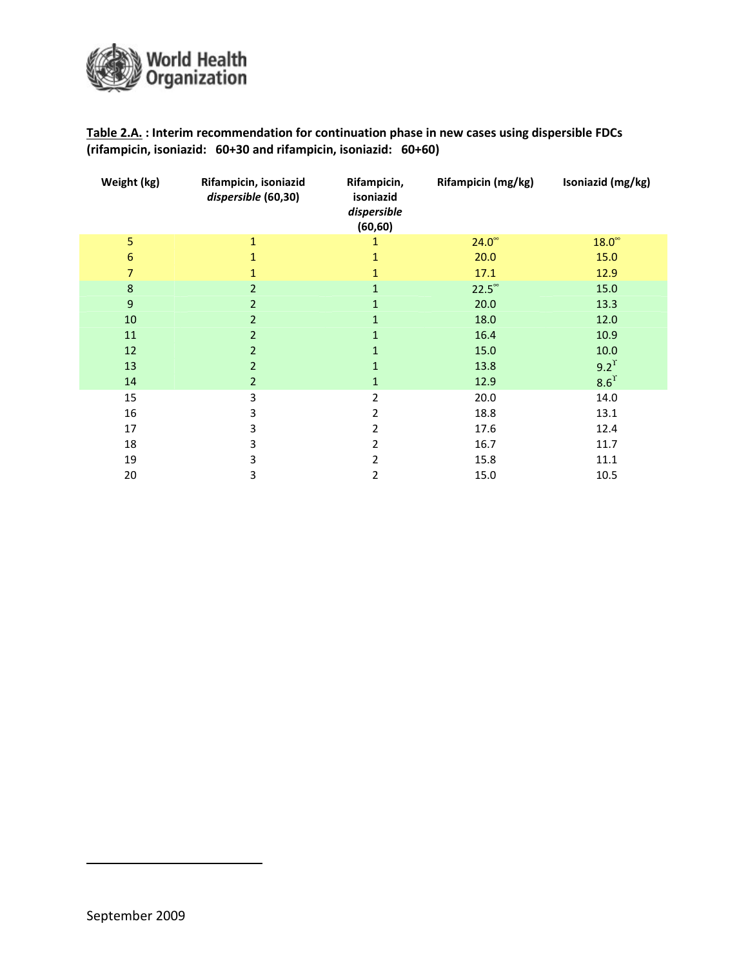

Table 2.A. : Interim recommendation for continuation phase in new cases using dispersible FDCs (rifampicin, isoniazid: 60+30 and rifampicin, isoniazid: 60+60)

| Weight (kg)      | Rifampicin, isoniazid<br>dispersible (60,30) | Rifampicin,<br>isoniazid<br>dispersible<br>(60, 60) | Rifampicin (mg/kg) | Isoniazid (mg/kg) |
|------------------|----------------------------------------------|-----------------------------------------------------|--------------------|-------------------|
| 5                | 1                                            | 1                                                   | $24.0^\circ$       | $18.0^\circ$      |
| $\boldsymbol{6}$ |                                              |                                                     | 20.0               | 15.0              |
| 7                |                                              | 1                                                   | 17.1               | 12.9              |
| $\boldsymbol{8}$ | $\overline{2}$                               | $\mathbf{1}$                                        | $22.5^{\circ}$     | 15.0              |
| $\overline{9}$   | $\overline{2}$                               | 1                                                   | 20.0               | 13.3              |
| 10               | $\overline{2}$                               | $\mathbf{1}$                                        | 18.0               | 12.0              |
| 11               | $\overline{2}$                               | 1                                                   | 16.4               | 10.9              |
| 12               | $\overline{2}$                               | $\mathbf{1}$                                        | 15.0               | 10.0              |
| 13               | $\overline{2}$                               | 1                                                   | 13.8               | $9.2^{\gamma}$    |
| 14               | $\overline{2}$                               | $\mathbf 1$                                         | 12.9               | 8.6 <sup>T</sup>  |
| 15               | 3                                            | 2                                                   | 20.0               | 14.0              |
| 16               | 3                                            | 2                                                   | 18.8               | 13.1              |
| 17               | 3                                            | 2                                                   | 17.6               | 12.4              |
| 18               | 3                                            | 2                                                   | 16.7               | 11.7              |
| 19               | 3                                            | 2                                                   | 15.8               | 11.1              |
| 20               | 3                                            | 2                                                   | 15.0               | 10.5              |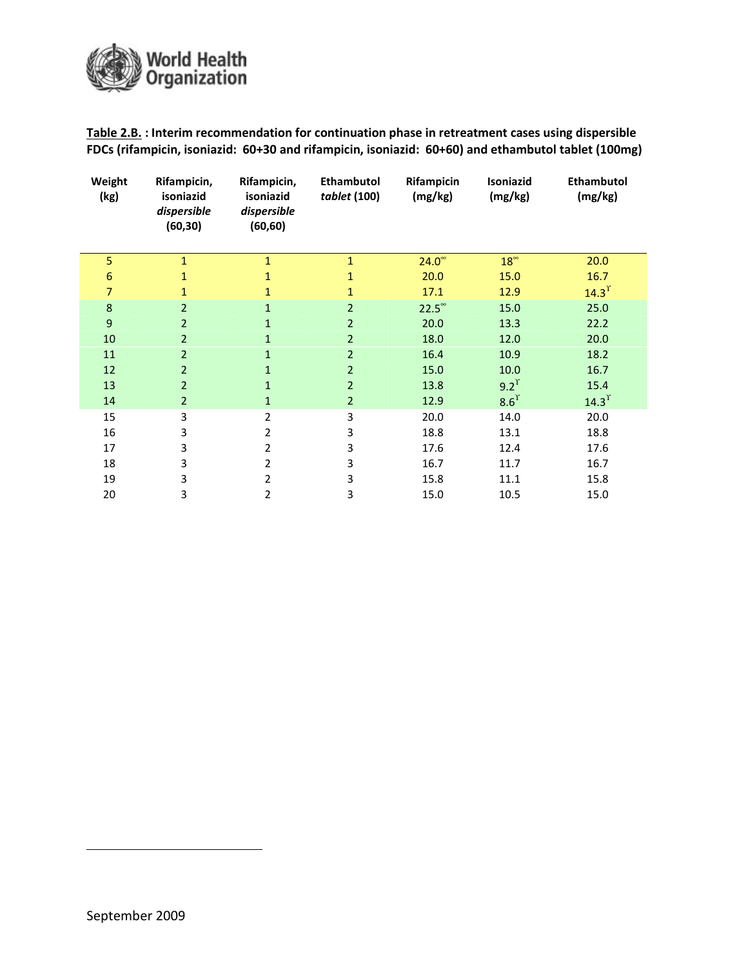

Table 2.B. : Interim recommendation for continuation phase in retreatment cases using dispersible FDCs (rifampicin, isoniazid: 60+30 and rifampicin, isoniazid: 60+60) and ethambutol tablet (100mg)

| Weight<br>(kg) | Rifampicin,<br>isoniazid<br>dispersible<br>(60, 30) | Rifampicin,<br>isoniazid<br>dispersible<br>(60, 60) | Ethambutol<br>tablet (100) | Rifampicin<br>(mg/kg) | Isoniazid<br>(mg/kg) | <b>Ethambutol</b><br>(mg/kg) |
|----------------|-----------------------------------------------------|-----------------------------------------------------|----------------------------|-----------------------|----------------------|------------------------------|
| 5              | $\mathbf{1}$                                        | $\mathbf{1}$                                        | $\mathbf{1}$               | $24.0^\circ$          | $18^{\circ}$         | 20.0                         |
| 6              | 1                                                   | $\mathbf{1}$                                        |                            | 20.0                  | 15.0                 | 16.7                         |
| $\overline{7}$ | 1                                                   | $\mathbf{1}$                                        | 1                          | 17.1                  | 12.9                 | $14.3$ <sup>r</sup>          |
| 8              | $\overline{2}$                                      | $\mathbf{1}$                                        | $\overline{2}$             | $22.5^{\circ}$        | 15.0                 | 25.0                         |
| $9$            | $\overline{2}$                                      | $\mathbf{1}$                                        | $\overline{2}$             | 20.0                  | 13.3                 | 22.2                         |
| 10             | $\overline{2}$                                      | $\mathbf{1}$                                        | $\overline{2}$             | 18.0                  | 12.0                 | 20.0                         |
| 11             | $\overline{2}$                                      | $\mathbf{1}$                                        | $\overline{2}$             | 16.4                  | 10.9                 | 18.2                         |
| 12             | $\overline{2}$                                      | $\mathbf{1}$                                        | $\overline{2}$             | 15.0                  | 10.0                 | 16.7                         |
| 13             | $\overline{2}$                                      | $\mathbf{1}$                                        | $\overline{2}$             | 13.8                  | $9.2^{\gamma}$       | 15.4                         |
| 14             | $\overline{2}$                                      | $\mathbf{1}$                                        | $\overline{2}$             | 12.9                  | $8.6^{\text{T}}$     | $14.3$ <sup>r</sup>          |
| 15             | 3                                                   | $\overline{2}$                                      | 3                          | 20.0                  | 14.0                 | 20.0                         |
| 16             | 3                                                   | 2                                                   | 3                          | 18.8                  | 13.1                 | 18.8                         |
| 17             | 3                                                   | 2                                                   | 3                          | 17.6                  | 12.4                 | 17.6                         |
| 18             | 3                                                   | 2                                                   | 3                          | 16.7                  | 11.7                 | 16.7                         |
| 19             | 3                                                   | 2                                                   | 3                          | 15.8                  | 11.1                 | 15.8                         |
| 20             | 3                                                   | 2                                                   | 3                          | 15.0                  | 10.5                 | 15.0                         |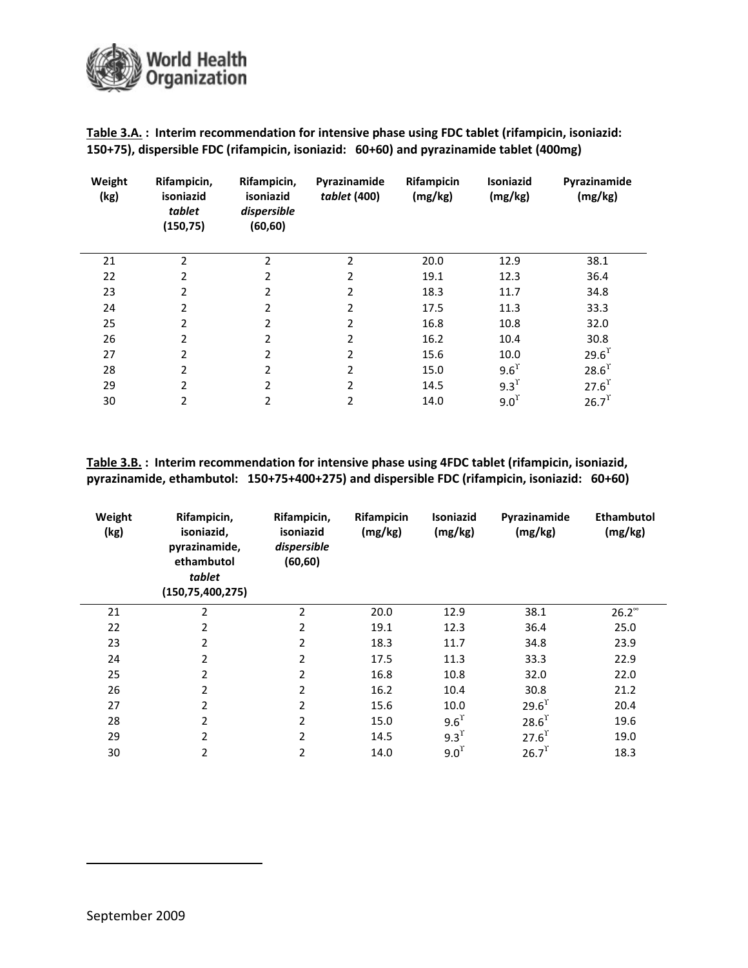

|                                                                                         | Table 3.A.: Interim recommendation for intensive phase using FDC tablet (rifampicin, isoniazid: |
|-----------------------------------------------------------------------------------------|-------------------------------------------------------------------------------------------------|
| 150+75), dispersible FDC (rifampicin, isoniazid: 60+60) and pyrazinamide tablet (400mg) |                                                                                                 |

| Weight<br>(kg) | Rifampicin,<br>isoniazid<br>tablet<br>(150, 75) | Rifampicin,<br>isoniazid<br>dispersible<br>(60, 60) | Pyrazinamide<br>tablet (400) | Rifampicin<br>(mg/kg) | <b>Isoniazid</b><br>(mg/kg) | Pyrazinamide<br>(mg/kg) |
|----------------|-------------------------------------------------|-----------------------------------------------------|------------------------------|-----------------------|-----------------------------|-------------------------|
| 21             | $\overline{2}$                                  | $\overline{2}$                                      | $\overline{2}$               | 20.0                  | 12.9                        | 38.1                    |
| 22             | $\mathcal{P}$                                   | $\overline{2}$                                      | 2                            | 19.1                  | 12.3                        | 36.4                    |
| 23             | $\overline{\phantom{a}}$                        | $\overline{2}$                                      | 2                            | 18.3                  | 11.7                        | 34.8                    |
| 24             | $\overline{\phantom{a}}$                        | 2                                                   | 2                            | 17.5                  | 11.3                        | 33.3                    |
| 25             | 2                                               | $\overline{2}$                                      | 2                            | 16.8                  | 10.8                        | 32.0                    |
| 26             | 2                                               | 2                                                   | 2                            | 16.2                  | 10.4                        | 30.8                    |
| 27             | 2                                               | $\overline{2}$                                      | 2                            | 15.6                  | 10.0                        | $29.6^{T}$              |
| 28             | 2                                               | 2                                                   | 2                            | 15.0                  | 9.6 <sup>r</sup>            | $28.6$ <sup>r</sup>     |
| 29             | 2                                               | $\overline{2}$                                      | 2                            | 14.5                  | 9.3 <sup>T</sup>            | $27.6^{\text{T}}$       |
| 30             | 2                                               | 2                                                   | 2                            | 14.0                  | 9.0 <sup>r</sup>            | $26.7$ <sup>r</sup>     |

Table 3.B. : Interim recommendation for intensive phase using 4FDC tablet (rifampicin, isoniazid, pyrazinamide, ethambutol: 150+75+400+275) and dispersible FDC (rifampicin, isoniazid: 60+60)

| Weight<br>(kg) | Rifampicin,<br>isoniazid,<br>pyrazinamide,<br>ethambutol<br>tablet<br>(150, 75, 400, 275) | Rifampicin,<br>isoniazid<br>dispersible<br>(60, 60) | Rifampicin<br>(mg/kg) | Isoniazid<br>(mg/kg) | Pyrazinamide<br>(mg/kg) | <b>Ethambutol</b><br>(mg/kg) |
|----------------|-------------------------------------------------------------------------------------------|-----------------------------------------------------|-----------------------|----------------------|-------------------------|------------------------------|
| 21             | 2                                                                                         | 2                                                   | 20.0                  | 12.9                 | 38.1                    | $26.2^{\circ}$               |
| 22             | 2                                                                                         | 2                                                   | 19.1                  | 12.3                 | 36.4                    | 25.0                         |
| 23             | 2                                                                                         | 2                                                   | 18.3                  | 11.7                 | 34.8                    | 23.9                         |
| 24             | 2                                                                                         | 2                                                   | 17.5                  | 11.3                 | 33.3                    | 22.9                         |
| 25             | 2                                                                                         | 2                                                   | 16.8                  | 10.8                 | 32.0                    | 22.0                         |
| 26             | 2                                                                                         | 2                                                   | 16.2                  | 10.4                 | 30.8                    | 21.2                         |
| 27             | 2                                                                                         | 2                                                   | 15.6                  | 10.0                 | $29.6^{\text{T}}$       | 20.4                         |
| 28             | 2                                                                                         | 2                                                   | 15.0                  | 9.6 <sup>r</sup>     | $28.6$ <sup>r</sup>     | 19.6                         |
| 29             | 2                                                                                         | 2                                                   | 14.5                  | $9.3$ <sup>r</sup>   | $27.6^{T}$              | 19.0                         |
| 30             | 2                                                                                         | 2                                                   | 14.0                  | 9.0 <sup>T</sup>     | $26.7$ <sup>r</sup>     | 18.3                         |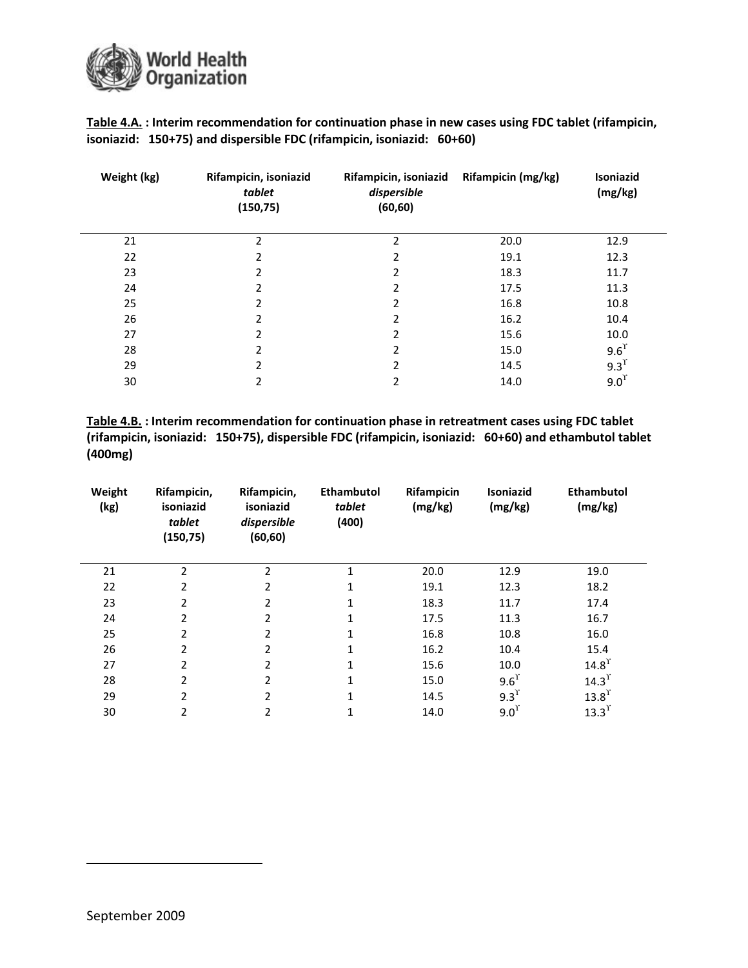

Table 4.A. : Interim recommendation for continuation phase in new cases using FDC tablet (rifampicin, isoniazid: 150+75) and dispersible FDC (rifampicin, isoniazid: 60+60)

| Weight (kg) | Rifampicin, isoniazid<br>tablet<br>(150, 75) | Rifampicin, isoniazid<br>dispersible<br>(60, 60) | Rifampicin (mg/kg) | <b>Isoniazid</b><br>(mg/kg) |
|-------------|----------------------------------------------|--------------------------------------------------|--------------------|-----------------------------|
| 21          | 2                                            | 2                                                | 20.0               | 12.9                        |
| 22          | 2                                            | 2                                                | 19.1               | 12.3                        |
| 23          | 2                                            | 2                                                | 18.3               | 11.7                        |
| 24          | $\overline{2}$                               | 2                                                | 17.5               | 11.3                        |
| 25          | $\overline{2}$                               | 2                                                | 16.8               | 10.8                        |
| 26          | 2                                            | 2                                                | 16.2               | 10.4                        |
| 27          | 2                                            | 2                                                | 15.6               | 10.0                        |
| 28          | 2                                            | 2                                                | 15.0               | 9.6 <sup>T</sup>            |
| 29          | 2                                            | 2                                                | 14.5               | 9.3 <sup>T</sup>            |
| 30          | 2                                            | 2                                                | 14.0               | 9.0 <sup>T</sup>            |

Table 4.B. : Interim recommendation for continuation phase in retreatment cases using FDC tablet (rifampicin, isoniazid: 150+75), dispersible FDC (rifampicin, isoniazid: 60+60) and ethambutol tablet (400mg)

| Weight<br>(kg) | Rifampicin,<br>isoniazid<br>tablet<br>(150, 75) | Rifampicin,<br>isoniazid<br>dispersible<br>(60, 60) | Ethambutol<br>tablet<br>(400) | Rifampicin<br>(mg/kg) | <b>Isoniazid</b><br>(mg/kg) | <b>Ethambutol</b><br>(mg/kg) |
|----------------|-------------------------------------------------|-----------------------------------------------------|-------------------------------|-----------------------|-----------------------------|------------------------------|
| 21             | $\overline{\phantom{a}}$                        | 2                                                   | $\mathbf{1}$                  | 20.0                  | 12.9                        | 19.0                         |
| 22             | 2                                               | $\overline{2}$                                      |                               | 19.1                  | 12.3                        | 18.2                         |
| 23             | $\mathfrak{p}$                                  | $\overline{2}$                                      |                               | 18.3                  | 11.7                        | 17.4                         |
| 24             | 2                                               | $\overline{2}$                                      |                               | 17.5                  | 11.3                        | 16.7                         |
| 25             | $\overline{2}$                                  | $\overline{2}$                                      |                               | 16.8                  | 10.8                        | 16.0                         |
| 26             | 2                                               | $\overline{2}$                                      |                               | 16.2                  | 10.4                        | 15.4                         |
| 27             | 2                                               | $\overline{2}$                                      | 1                             | 15.6                  | 10.0                        | $14.8$ <sup>r</sup>          |
| 28             | 2                                               | $\overline{2}$                                      | 1                             | 15.0                  | 9.6 <sup>T</sup>            | $14.3$ <sup>r</sup>          |
| 29             | $\overline{\phantom{a}}$                        | 2                                                   |                               | 14.5                  | 9.3 <sup>T</sup>            | 13.8 <sup>T</sup>            |
| 30             | 2                                               | 2                                                   |                               | 14.0                  | 9.0 <sup>T</sup>            | 13.3 <sup>T</sup>            |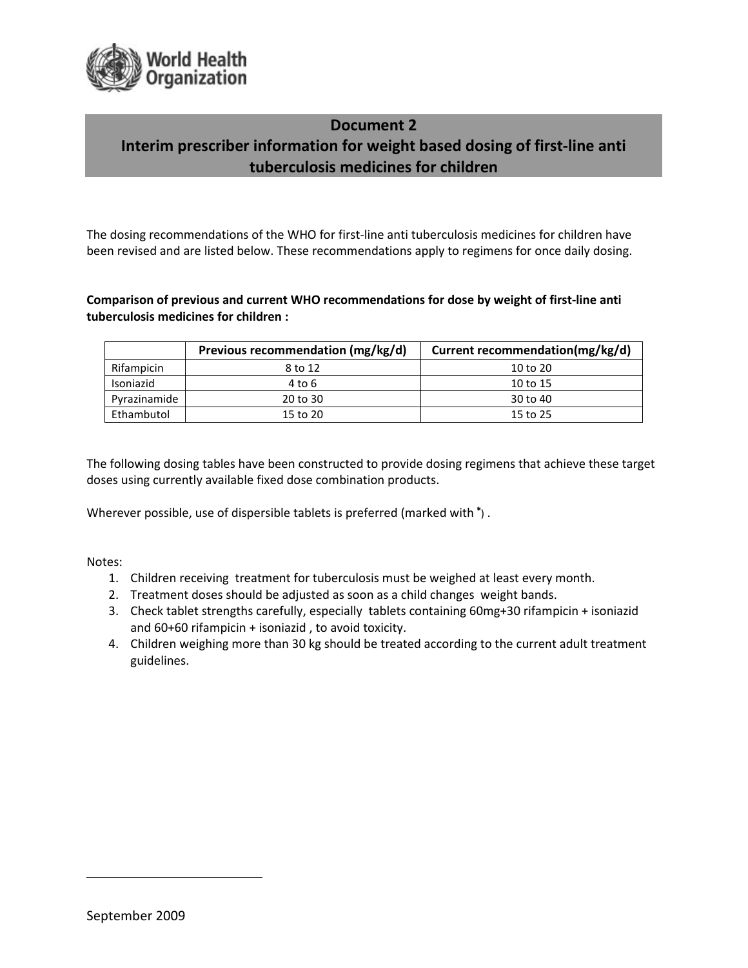

## Document 2 Interim prescriber information for weight based dosing of first-line anti tuberculosis medicines for children

The dosing recommendations of the WHO for first-line anti tuberculosis medicines for children have been revised and are listed below. These recommendations apply to regimens for once daily dosing.

#### Comparison of previous and current WHO recommendations for dose by weight of first-line anti tuberculosis medicines for children :

|              | Previous recommendation (mg/kg/d) | Current recommendation(mg/kg/d) |  |
|--------------|-----------------------------------|---------------------------------|--|
| Rifampicin   | 8 to 12                           | $10$ to $20$                    |  |
| Isoniazid    | 4 to 6                            | 10 to 15                        |  |
| Pyrazinamide | 20 to 30                          | 30 to 40                        |  |
| Ethambutol   | 15 to 20                          | 15 to 25                        |  |

The following dosing tables have been constructed to provide dosing regimens that achieve these target doses using currently available fixed dose combination products.

Wherever possible, use of dispersible tablets is preferred (marked with  $\dagger$ ).

Notes:

- 1. Children receiving treatment for tuberculosis must be weighed at least every month.
- 2. Treatment doses should be adjusted as soon as a child changes weight bands.
- 3. Check tablet strengths carefully, especially tablets containing 60mg+30 rifampicin + isoniazid and 60+60 rifampicin + isoniazid , to avoid toxicity.
- 4. Children weighing more than 30 kg should be treated according to the current adult treatment guidelines.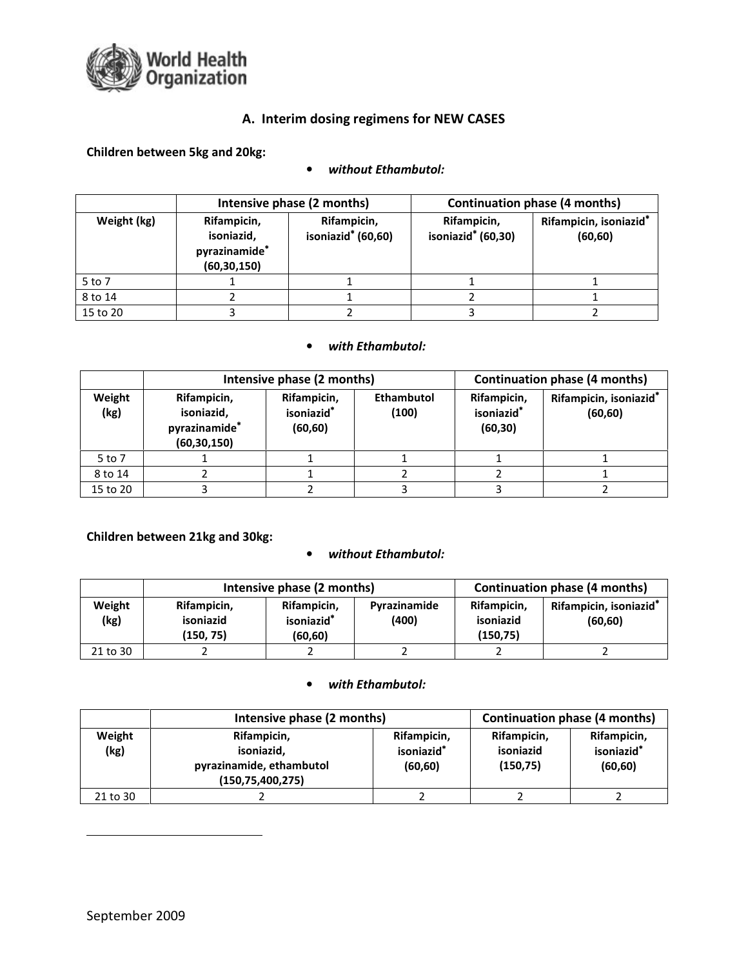

### A. Interim dosing regimens for NEW CASES

#### Children between 5kg and 20kg:

#### • without Ethambutol:

|             |                                                             | Intensive phase (2 months)                    | Continuation phase (4 months)                 |                                                |  |
|-------------|-------------------------------------------------------------|-----------------------------------------------|-----------------------------------------------|------------------------------------------------|--|
| Weight (kg) | Rifampicin,<br>isoniazid,<br>pyrazinamide*<br>(60, 30, 150) | Rifampicin,<br>isoniazid <sup>*</sup> (60,60) | Rifampicin,<br>isoniazid <sup>*</sup> (60,30) | Rifampicin, isoniazid <sup>*</sup><br>(60, 60) |  |
| 5 to 7      |                                                             |                                               |                                               |                                                |  |
| 8 to 14     |                                                             |                                               |                                               |                                                |  |
| 15 to 20    |                                                             |                                               |                                               |                                                |  |

#### • with Ethambutol:

|                |                                                             | Intensive phase (2 months)                        | <b>Continuation phase (4 months)</b> |                                                   |                                                |
|----------------|-------------------------------------------------------------|---------------------------------------------------|--------------------------------------|---------------------------------------------------|------------------------------------------------|
| Weight<br>(kg) | Rifampicin,<br>isoniazid,<br>pyrazinamide*<br>(60, 30, 150) | Rifampicin,<br>isoniazid <sup>*</sup><br>(60, 60) | <b>Ethambutol</b><br>(100)           | Rifampicin,<br>isoniazid <sup>*</sup><br>(60, 30) | Rifampicin, isoniazid <sup>*</sup><br>(60, 60) |
| 5 to 7         |                                                             |                                                   |                                      |                                                   |                                                |
| 8 to 14        |                                                             |                                                   |                                      |                                                   |                                                |
| 15 to 20       |                                                             |                                                   |                                      |                                                   |                                                |

#### Children between 21kg and 30kg:

#### • without Ethambutol:

|                |                                       | Intensive phase (2 months)                        | <b>Continuation phase (4 months)</b> |                                       |                                                |
|----------------|---------------------------------------|---------------------------------------------------|--------------------------------------|---------------------------------------|------------------------------------------------|
| Weight<br>(kg) | Rifampicin,<br>isoniazid<br>(150, 75) | Rifampicin,<br>isoniazid <sup>*</sup><br>(60, 60) | Pyrazinamide<br>(400)                | Rifampicin,<br>isoniazid<br>(150, 75) | Rifampicin, isoniazid <sup>*</sup><br>(60, 60) |
| 21 to 30       |                                       |                                                   |                                      |                                       |                                                |

#### • with Ethambutol:

|                | Intensive phase (2 months)                                                   | <b>Continuation phase (4 months)</b>              |                                       |                                                   |
|----------------|------------------------------------------------------------------------------|---------------------------------------------------|---------------------------------------|---------------------------------------------------|
| Weight<br>(kg) | Rifampicin,<br>isoniazid,<br>pyrazinamide, ethambutol<br>(150, 75, 400, 275) | Rifampicin,<br>isoniazid <sup>*</sup><br>(60, 60) | Rifampicin,<br>isoniazid<br>(150, 75) | Rifampicin,<br>isoniazid <sup>*</sup><br>(60, 60) |
| 21 to 30       |                                                                              |                                                   |                                       |                                                   |